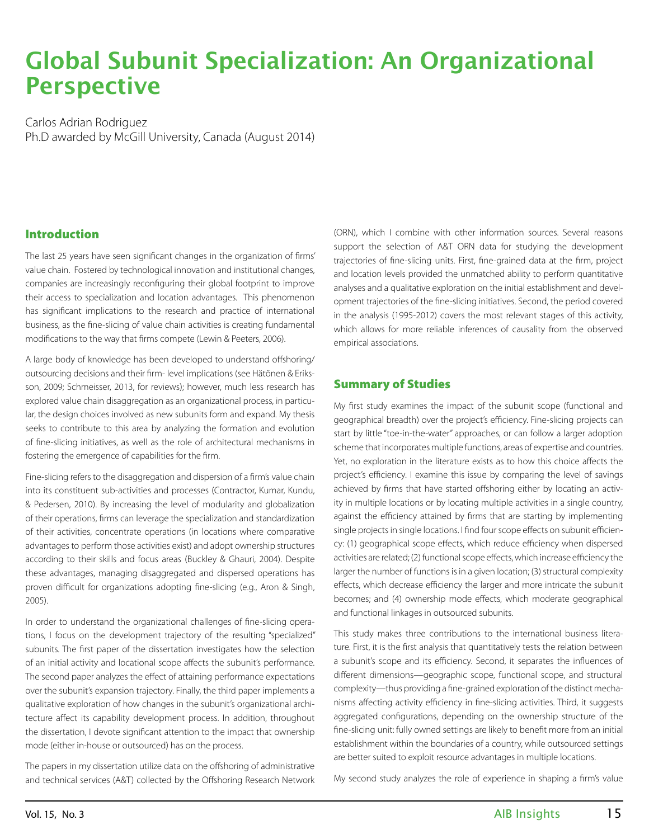# Global Subunit Specialization: An Organizational **Perspective**

Carlos Adrian Rodriguez Ph.D awarded by McGill University, Canada (August 2014)

## Introduction

The last 25 years have seen significant changes in the organization of firms' value chain. Fostered by technological innovation and institutional changes, companies are increasingly reconfiguring their global footprint to improve their access to specialization and location advantages. This phenomenon has significant implications to the research and practice of international business, as the fine-slicing of value chain activities is creating fundamental modifications to the way that firms compete (Lewin & Peeters, 2006).

A large body of knowledge has been developed to understand offshoring/ outsourcing decisions and their firm- level implications (see Hätönen & Eriksson, 2009; Schmeisser, 2013, for reviews); however, much less research has explored value chain disaggregation as an organizational process, in particular, the design choices involved as new subunits form and expand. My thesis seeks to contribute to this area by analyzing the formation and evolution of fine-slicing initiatives, as well as the role of architectural mechanisms in fostering the emergence of capabilities for the firm.

Fine-slicing refers to the disaggregation and dispersion of a firm's value chain into its constituent sub-activities and processes (Contractor, Kumar, Kundu, & Pedersen, 2010). By increasing the level of modularity and globalization of their operations, firms can leverage the specialization and standardization of their activities, concentrate operations (in locations where comparative advantages to perform those activities exist) and adopt ownership structures according to their skills and focus areas (Buckley & Ghauri, 2004). Despite these advantages, managing disaggregated and dispersed operations has proven difficult for organizations adopting fine-slicing (e.g., Aron & Singh, 2005).

In order to understand the organizational challenges of fine-slicing operations, I focus on the development trajectory of the resulting "specialized" subunits. The first paper of the dissertation investigates how the selection of an initial activity and locational scope affects the subunit's performance. The second paper analyzes the effect of attaining performance expectations over the subunit's expansion trajectory. Finally, the third paper implements a qualitative exploration of how changes in the subunit's organizational architecture affect its capability development process. In addition, throughout the dissertation, I devote significant attention to the impact that ownership mode (either in-house or outsourced) has on the process.

The papers in my dissertation utilize data on the offshoring of administrative and technical services (A&T) collected by the Offshoring Research Network (ORN), which I combine with other information sources. Several reasons support the selection of A&T ORN data for studying the development trajectories of fine-slicing units. First, fine-grained data at the firm, project and location levels provided the unmatched ability to perform quantitative analyses and a qualitative exploration on the initial establishment and development trajectories of the fine-slicing initiatives. Second, the period covered in the analysis (1995-2012) covers the most relevant stages of this activity, which allows for more reliable inferences of causality from the observed empirical associations.

# Summary of Studies

My first study examines the impact of the subunit scope (functional and geographical breadth) over the project's efficiency. Fine-slicing projects can start by little "toe-in-the-water" approaches, or can follow a larger adoption scheme that incorporates multiple functions, areas of expertise and countries. Yet, no exploration in the literature exists as to how this choice affects the project's efficiency. I examine this issue by comparing the level of savings achieved by firms that have started offshoring either by locating an activity in multiple locations or by locating multiple activities in a single country, against the efficiency attained by firms that are starting by implementing single projects in single locations. I find four scope effects on subunit efficiency: (1) geographical scope effects, which reduce efficiency when dispersed activities are related; (2) functional scope effects, which increase efficiency the larger the number of functions is in a given location; (3) structural complexity effects, which decrease efficiency the larger and more intricate the subunit becomes; and (4) ownership mode effects, which moderate geographical and functional linkages in outsourced subunits.

This study makes three contributions to the international business literature. First, it is the first analysis that quantitatively tests the relation between a subunit's scope and its efficiency. Second, it separates the influences of different dimensions—geographic scope, functional scope, and structural complexity—thus providing a fine-grained exploration of the distinct mechanisms affecting activity efficiency in fine-slicing activities. Third, it suggests aggregated configurations, depending on the ownership structure of the fine-slicing unit: fully owned settings are likely to benefit more from an initial establishment within the boundaries of a country, while outsourced settings are better suited to exploit resource advantages in multiple locations.

My second study analyzes the role of experience in shaping a firm's value